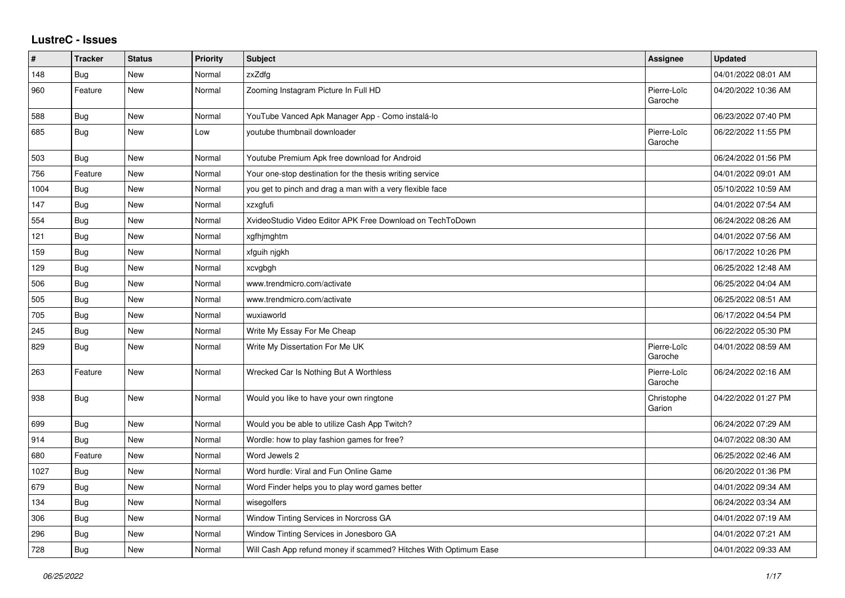## **LustreC - Issues**

| #    | <b>Tracker</b> | <b>Status</b> | <b>Priority</b> | <b>Subject</b>                                                   | Assignee               | <b>Updated</b>      |
|------|----------------|---------------|-----------------|------------------------------------------------------------------|------------------------|---------------------|
| 148  | <b>Bug</b>     | <b>New</b>    | Normal          | zxZdfg                                                           |                        | 04/01/2022 08:01 AM |
| 960  | Feature        | New           | Normal          | Zooming Instagram Picture In Full HD                             | Pierre-Loïc<br>Garoche | 04/20/2022 10:36 AM |
| 588  | Bug            | New           | Normal          | YouTube Vanced Apk Manager App - Como instalá-lo                 |                        | 06/23/2022 07:40 PM |
| 685  | Bug            | New           | Low             | youtube thumbnail downloader                                     | Pierre-Loïc<br>Garoche | 06/22/2022 11:55 PM |
| 503  | Bug            | <b>New</b>    | Normal          | Youtube Premium Apk free download for Android                    |                        | 06/24/2022 01:56 PM |
| 756  | Feature        | New           | Normal          | Your one-stop destination for the thesis writing service         |                        | 04/01/2022 09:01 AM |
| 1004 | <b>Bug</b>     | New           | Normal          | you get to pinch and drag a man with a very flexible face        |                        | 05/10/2022 10:59 AM |
| 147  | <b>Bug</b>     | New           | Normal          | xzxgfufi                                                         |                        | 04/01/2022 07:54 AM |
| 554  | <b>Bug</b>     | New           | Normal          | XvideoStudio Video Editor APK Free Download on TechToDown        |                        | 06/24/2022 08:26 AM |
| 121  | <b>Bug</b>     | New           | Normal          | xgfhjmghtm                                                       |                        | 04/01/2022 07:56 AM |
| 159  | <b>Bug</b>     | <b>New</b>    | Normal          | xfguih njgkh                                                     |                        | 06/17/2022 10:26 PM |
| 129  | <b>Bug</b>     | New           | Normal          | xcvgbgh                                                          |                        | 06/25/2022 12:48 AM |
| 506  | Bug            | New           | Normal          | www.trendmicro.com/activate                                      |                        | 06/25/2022 04:04 AM |
| 505  | <b>Bug</b>     | New           | Normal          | www.trendmicro.com/activate                                      |                        | 06/25/2022 08:51 AM |
| 705  | Bug            | New           | Normal          | wuxiaworld                                                       |                        | 06/17/2022 04:54 PM |
| 245  | Bug            | New           | Normal          | Write My Essay For Me Cheap                                      |                        | 06/22/2022 05:30 PM |
| 829  | Bug            | <b>New</b>    | Normal          | Write My Dissertation For Me UK                                  | Pierre-Loïc<br>Garoche | 04/01/2022 08:59 AM |
| 263  | Feature        | New           | Normal          | Wrecked Car Is Nothing But A Worthless                           | Pierre-Loïc<br>Garoche | 06/24/2022 02:16 AM |
| 938  | Bug            | New           | Normal          | Would you like to have your own ringtone                         | Christophe<br>Garion   | 04/22/2022 01:27 PM |
| 699  | <b>Bug</b>     | New           | Normal          | Would you be able to utilize Cash App Twitch?                    |                        | 06/24/2022 07:29 AM |
| 914  | Bug            | <b>New</b>    | Normal          | Wordle: how to play fashion games for free?                      |                        | 04/07/2022 08:30 AM |
| 680  | Feature        | <b>New</b>    | Normal          | Word Jewels 2                                                    |                        | 06/25/2022 02:46 AM |
| 1027 | Bug            | New           | Normal          | Word hurdle: Viral and Fun Online Game                           |                        | 06/20/2022 01:36 PM |
| 679  | <b>Bug</b>     | New           | Normal          | Word Finder helps you to play word games better                  |                        | 04/01/2022 09:34 AM |
| 134  | <b>Bug</b>     | New           | Normal          | wisegolfers                                                      |                        | 06/24/2022 03:34 AM |
| 306  | <b>Bug</b>     | New           | Normal          | Window Tinting Services in Norcross GA                           |                        | 04/01/2022 07:19 AM |
| 296  | Bug            | New           | Normal          | Window Tinting Services in Jonesboro GA                          |                        | 04/01/2022 07:21 AM |
| 728  | Bug            | New           | Normal          | Will Cash App refund money if scammed? Hitches With Optimum Ease |                        | 04/01/2022 09:33 AM |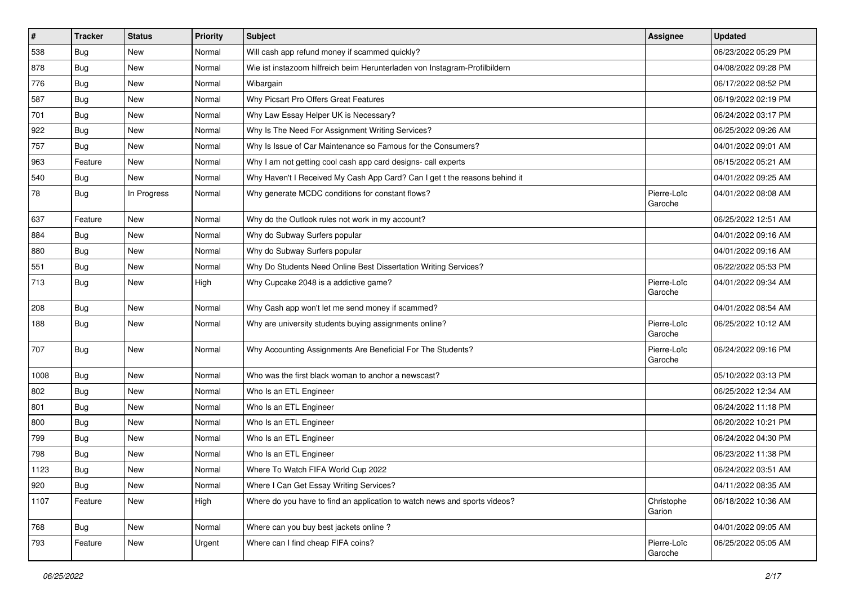| $\sharp$ | <b>Tracker</b> | <b>Status</b> | Priority | <b>Subject</b>                                                             | <b>Assignee</b>        | <b>Updated</b>      |
|----------|----------------|---------------|----------|----------------------------------------------------------------------------|------------------------|---------------------|
| 538      | Bug            | New           | Normal   | Will cash app refund money if scammed quickly?                             |                        | 06/23/2022 05:29 PM |
| 878      | Bug            | New           | Normal   | Wie ist instazoom hilfreich beim Herunterladen von Instagram-Profilbildern |                        | 04/08/2022 09:28 PM |
| 776      | Bug            | New           | Normal   | Wibargain                                                                  |                        | 06/17/2022 08:52 PM |
| 587      | Bug            | New           | Normal   | Why Picsart Pro Offers Great Features                                      |                        | 06/19/2022 02:19 PM |
| 701      | Bug            | New           | Normal   | Why Law Essay Helper UK is Necessary?                                      |                        | 06/24/2022 03:17 PM |
| 922      | Bug            | New           | Normal   | Why Is The Need For Assignment Writing Services?                           |                        | 06/25/2022 09:26 AM |
| 757      | Bug            | New           | Normal   | Why Is Issue of Car Maintenance so Famous for the Consumers?               |                        | 04/01/2022 09:01 AM |
| 963      | Feature        | New           | Normal   | Why I am not getting cool cash app card designs- call experts              |                        | 06/15/2022 05:21 AM |
| 540      | Bug            | New           | Normal   | Why Haven't I Received My Cash App Card? Can I get t the reasons behind it |                        | 04/01/2022 09:25 AM |
| 78       | Bug            | In Progress   | Normal   | Why generate MCDC conditions for constant flows?                           | Pierre-Loïc<br>Garoche | 04/01/2022 08:08 AM |
| 637      | Feature        | <b>New</b>    | Normal   | Why do the Outlook rules not work in my account?                           |                        | 06/25/2022 12:51 AM |
| 884      | Bug            | New           | Normal   | Why do Subway Surfers popular                                              |                        | 04/01/2022 09:16 AM |
| 880      | <b>Bug</b>     | New           | Normal   | Why do Subway Surfers popular                                              |                        | 04/01/2022 09:16 AM |
| 551      | Bug            | New           | Normal   | Why Do Students Need Online Best Dissertation Writing Services?            |                        | 06/22/2022 05:53 PM |
| 713      | Bug            | New           | High     | Why Cupcake 2048 is a addictive game?                                      | Pierre-Loïc<br>Garoche | 04/01/2022 09:34 AM |
| 208      | Bug            | New           | Normal   | Why Cash app won't let me send money if scammed?                           |                        | 04/01/2022 08:54 AM |
| 188      | Bug            | New           | Normal   | Why are university students buying assignments online?                     | Pierre-Loïc<br>Garoche | 06/25/2022 10:12 AM |
| 707      | Bug            | New           | Normal   | Why Accounting Assignments Are Beneficial For The Students?                | Pierre-Loïc<br>Garoche | 06/24/2022 09:16 PM |
| 1008     | Bug            | New           | Normal   | Who was the first black woman to anchor a newscast?                        |                        | 05/10/2022 03:13 PM |
| 802      | Bug            | New           | Normal   | Who Is an ETL Engineer                                                     |                        | 06/25/2022 12:34 AM |
| 801      | Bug            | New           | Normal   | Who Is an ETL Engineer                                                     |                        | 06/24/2022 11:18 PM |
| 800      | Bug            | New           | Normal   | Who Is an ETL Engineer                                                     |                        | 06/20/2022 10:21 PM |
| 799      | Bug            | New           | Normal   | Who Is an ETL Engineer                                                     |                        | 06/24/2022 04:30 PM |
| 798      | Bug            | New           | Normal   | Who Is an ETL Engineer                                                     |                        | 06/23/2022 11:38 PM |
| 1123     | Bug            | New           | Normal   | Where To Watch FIFA World Cup 2022                                         |                        | 06/24/2022 03:51 AM |
| 920      | <b>Bug</b>     | New           | Normal   | Where I Can Get Essay Writing Services?                                    |                        | 04/11/2022 08:35 AM |
| 1107     | Feature        | New           | High     | Where do you have to find an application to watch news and sports videos?  | Christophe<br>Garion   | 06/18/2022 10:36 AM |
| 768      | Bug            | New           | Normal   | Where can you buy best jackets online?                                     |                        | 04/01/2022 09:05 AM |
| 793      | Feature        | New           | Urgent   | Where can I find cheap FIFA coins?                                         | Pierre-Loïc<br>Garoche | 06/25/2022 05:05 AM |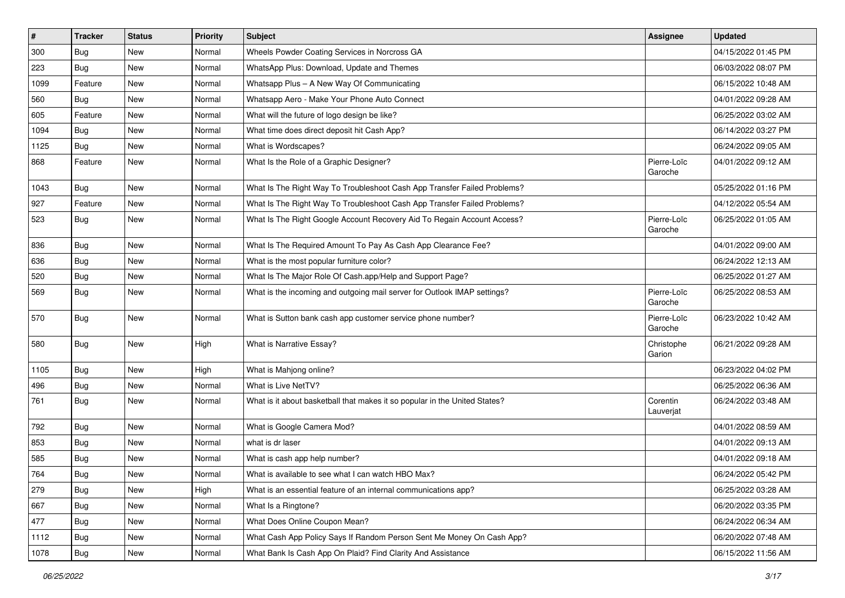| $\vert$ # | <b>Tracker</b> | <b>Status</b> | <b>Priority</b> | <b>Subject</b>                                                             | <b>Assignee</b>        | <b>Updated</b>      |
|-----------|----------------|---------------|-----------------|----------------------------------------------------------------------------|------------------------|---------------------|
| 300       | Bug            | New           | Normal          | Wheels Powder Coating Services in Norcross GA                              |                        | 04/15/2022 01:45 PM |
| 223       | Bug            | New           | Normal          | WhatsApp Plus: Download, Update and Themes                                 |                        | 06/03/2022 08:07 PM |
| 1099      | Feature        | New           | Normal          | Whatsapp Plus - A New Way Of Communicating                                 |                        | 06/15/2022 10:48 AM |
| 560       | Bug            | New           | Normal          | Whatsapp Aero - Make Your Phone Auto Connect                               |                        | 04/01/2022 09:28 AM |
| 605       | Feature        | New           | Normal          | What will the future of logo design be like?                               |                        | 06/25/2022 03:02 AM |
| 1094      | Bug            | New           | Normal          | What time does direct deposit hit Cash App?                                |                        | 06/14/2022 03:27 PM |
| 1125      | Bug            | New           | Normal          | What is Wordscapes?                                                        |                        | 06/24/2022 09:05 AM |
| 868       | Feature        | New           | Normal          | What Is the Role of a Graphic Designer?                                    | Pierre-Loïc<br>Garoche | 04/01/2022 09:12 AM |
| 1043      | Bug            | New           | Normal          | What Is The Right Way To Troubleshoot Cash App Transfer Failed Problems?   |                        | 05/25/2022 01:16 PM |
| 927       | Feature        | New           | Normal          | What Is The Right Way To Troubleshoot Cash App Transfer Failed Problems?   |                        | 04/12/2022 05:54 AM |
| 523       | Bug            | New           | Normal          | What Is The Right Google Account Recovery Aid To Regain Account Access?    | Pierre-Loïc<br>Garoche | 06/25/2022 01:05 AM |
| 836       | Bug            | New           | Normal          | What Is The Required Amount To Pay As Cash App Clearance Fee?              |                        | 04/01/2022 09:00 AM |
| 636       | Bug            | New           | Normal          | What is the most popular furniture color?                                  |                        | 06/24/2022 12:13 AM |
| 520       | <b>Bug</b>     | New           | Normal          | What Is The Major Role Of Cash.app/Help and Support Page?                  |                        | 06/25/2022 01:27 AM |
| 569       | <b>Bug</b>     | New           | Normal          | What is the incoming and outgoing mail server for Outlook IMAP settings?   | Pierre-Loïc<br>Garoche | 06/25/2022 08:53 AM |
| 570       | Bug            | New           | Normal          | What is Sutton bank cash app customer service phone number?                | Pierre-Loïc<br>Garoche | 06/23/2022 10:42 AM |
| 580       | Bug            | New           | High            | What is Narrative Essay?                                                   | Christophe<br>Garion   | 06/21/2022 09:28 AM |
| 1105      | <b>Bug</b>     | New           | High            | What is Mahjong online?                                                    |                        | 06/23/2022 04:02 PM |
| 496       | <b>Bug</b>     | New           | Normal          | What is Live NetTV?                                                        |                        | 06/25/2022 06:36 AM |
| 761       | Bug            | New           | Normal          | What is it about basketball that makes it so popular in the United States? | Corentin<br>Lauverjat  | 06/24/2022 03:48 AM |
| 792       | Bug            | New           | Normal          | What is Google Camera Mod?                                                 |                        | 04/01/2022 08:59 AM |
| 853       | Bug            | New           | Normal          | what is dr laser                                                           |                        | 04/01/2022 09:13 AM |
| 585       | <b>Bug</b>     | <b>New</b>    | Normal          | What is cash app help number?                                              |                        | 04/01/2022 09:18 AM |
| 764       | Bug            | New           | Normal          | What is available to see what I can watch HBO Max?                         |                        | 06/24/2022 05:42 PM |
| 279       | Bug            | New           | High            | What is an essential feature of an internal communications app?            |                        | 06/25/2022 03:28 AM |
| 667       | <b>Bug</b>     | New           | Normal          | What Is a Ringtone?                                                        |                        | 06/20/2022 03:35 PM |
| 477       | <b>Bug</b>     | New           | Normal          | What Does Online Coupon Mean?                                              |                        | 06/24/2022 06:34 AM |
| 1112      | Bug            | New           | Normal          | What Cash App Policy Says If Random Person Sent Me Money On Cash App?      |                        | 06/20/2022 07:48 AM |
| 1078      | Bug            | New           | Normal          | What Bank Is Cash App On Plaid? Find Clarity And Assistance                |                        | 06/15/2022 11:56 AM |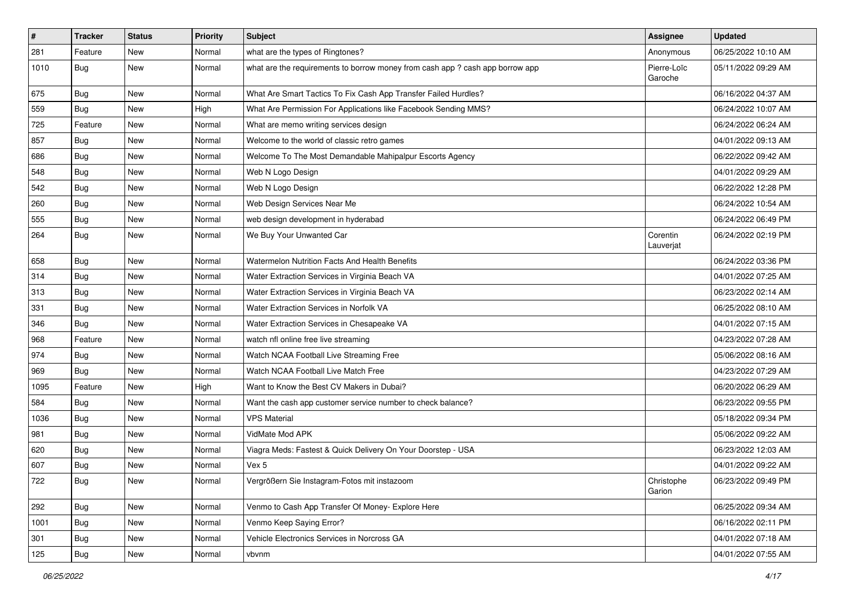| #    | <b>Tracker</b> | <b>Status</b> | Priority | <b>Subject</b>                                                                | <b>Assignee</b>        | <b>Updated</b>      |
|------|----------------|---------------|----------|-------------------------------------------------------------------------------|------------------------|---------------------|
| 281  | Feature        | New           | Normal   | what are the types of Ringtones?                                              | Anonymous              | 06/25/2022 10:10 AM |
| 1010 | Bug            | New           | Normal   | what are the requirements to borrow money from cash app ? cash app borrow app | Pierre-Loïc<br>Garoche | 05/11/2022 09:29 AM |
| 675  | Bug            | New           | Normal   | What Are Smart Tactics To Fix Cash App Transfer Failed Hurdles?               |                        | 06/16/2022 04:37 AM |
| 559  | Bug            | <b>New</b>    | High     | What Are Permission For Applications like Facebook Sending MMS?               |                        | 06/24/2022 10:07 AM |
| 725  | Feature        | New           | Normal   | What are memo writing services design                                         |                        | 06/24/2022 06:24 AM |
| 857  | Bug            | New           | Normal   | Welcome to the world of classic retro games                                   |                        | 04/01/2022 09:13 AM |
| 686  | Bug            | New           | Normal   | Welcome To The Most Demandable Mahipalpur Escorts Agency                      |                        | 06/22/2022 09:42 AM |
| 548  | <b>Bug</b>     | New           | Normal   | Web N Logo Design                                                             |                        | 04/01/2022 09:29 AM |
| 542  | Bug            | New           | Normal   | Web N Logo Design                                                             |                        | 06/22/2022 12:28 PM |
| 260  | Bug            | New           | Normal   | Web Design Services Near Me                                                   |                        | 06/24/2022 10:54 AM |
| 555  | Bug            | New           | Normal   | web design development in hyderabad                                           |                        | 06/24/2022 06:49 PM |
| 264  | Bug            | New           | Normal   | We Buy Your Unwanted Car                                                      | Corentin<br>Lauverjat  | 06/24/2022 02:19 PM |
| 658  | Bug            | New           | Normal   | Watermelon Nutrition Facts And Health Benefits                                |                        | 06/24/2022 03:36 PM |
| 314  | Bug            | New           | Normal   | Water Extraction Services in Virginia Beach VA                                |                        | 04/01/2022 07:25 AM |
| 313  | Bug            | New           | Normal   | Water Extraction Services in Virginia Beach VA                                |                        | 06/23/2022 02:14 AM |
| 331  | Bug            | New           | Normal   | Water Extraction Services in Norfolk VA                                       |                        | 06/25/2022 08:10 AM |
| 346  | <b>Bug</b>     | New           | Normal   | Water Extraction Services in Chesapeake VA                                    |                        | 04/01/2022 07:15 AM |
| 968  | Feature        | New           | Normal   | watch nfl online free live streaming                                          |                        | 04/23/2022 07:28 AM |
| 974  | Bug            | <b>New</b>    | Normal   | Watch NCAA Football Live Streaming Free                                       |                        | 05/06/2022 08:16 AM |
| 969  | <b>Bug</b>     | New           | Normal   | Watch NCAA Football Live Match Free                                           |                        | 04/23/2022 07:29 AM |
| 1095 | Feature        | New           | High     | Want to Know the Best CV Makers in Dubai?                                     |                        | 06/20/2022 06:29 AM |
| 584  | Bug            | New           | Normal   | Want the cash app customer service number to check balance?                   |                        | 06/23/2022 09:55 PM |
| 1036 | Bug            | New           | Normal   | <b>VPS Material</b>                                                           |                        | 05/18/2022 09:34 PM |
| 981  | Bug            | New           | Normal   | VidMate Mod APK                                                               |                        | 05/06/2022 09:22 AM |
| 620  | Bug            | New           | Normal   | Viagra Meds: Fastest & Quick Delivery On Your Doorstep - USA                  |                        | 06/23/2022 12:03 AM |
| 607  | <b>Bug</b>     | New           | Normal   | Vex 5                                                                         |                        | 04/01/2022 09:22 AM |
| 722  | <b>Bug</b>     | New           | Normal   | Vergrößern Sie Instagram-Fotos mit instazoom                                  | Christophe<br>Garion   | 06/23/2022 09:49 PM |
| 292  | Bug            | New           | Normal   | Venmo to Cash App Transfer Of Money- Explore Here                             |                        | 06/25/2022 09:34 AM |
| 1001 | Bug            | New           | Normal   | Venmo Keep Saying Error?                                                      |                        | 06/16/2022 02:11 PM |
| 301  | <b>Bug</b>     | New           | Normal   | Vehicle Electronics Services in Norcross GA                                   |                        | 04/01/2022 07:18 AM |
| 125  | Bug            | New           | Normal   | vbvnm                                                                         |                        | 04/01/2022 07:55 AM |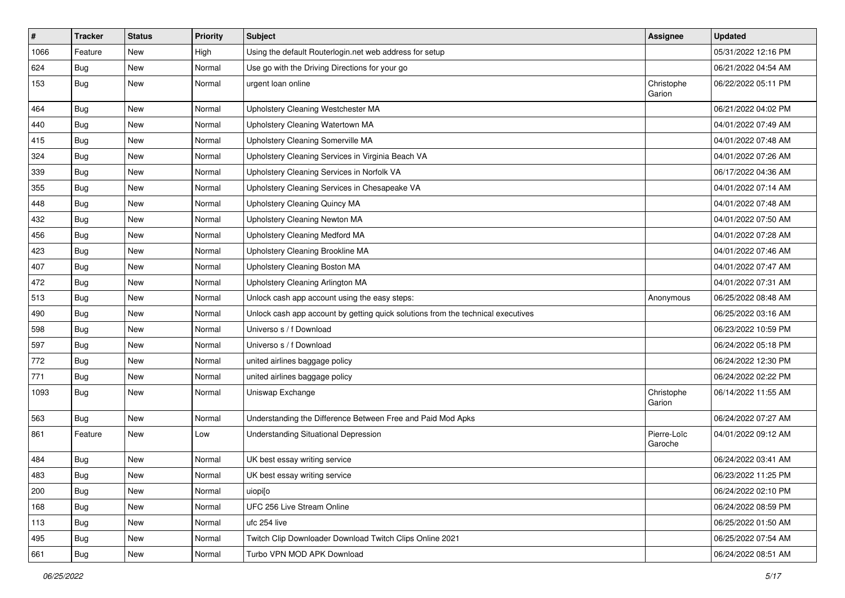| $\vert$ # | <b>Tracker</b> | <b>Status</b> | <b>Priority</b> | <b>Subject</b>                                                                   | <b>Assignee</b>        | <b>Updated</b>      |
|-----------|----------------|---------------|-----------------|----------------------------------------------------------------------------------|------------------------|---------------------|
| 1066      | Feature        | New           | High            | Using the default Routerlogin.net web address for setup                          |                        | 05/31/2022 12:16 PM |
| 624       | Bug            | New           | Normal          | Use go with the Driving Directions for your go                                   |                        | 06/21/2022 04:54 AM |
| 153       | Bug            | New           | Normal          | urgent loan online                                                               | Christophe<br>Garion   | 06/22/2022 05:11 PM |
| 464       | Bug            | New           | Normal          | Upholstery Cleaning Westchester MA                                               |                        | 06/21/2022 04:02 PM |
| 440       | <b>Bug</b>     | New           | Normal          | Upholstery Cleaning Watertown MA                                                 |                        | 04/01/2022 07:49 AM |
| 415       | Bug            | New           | Normal          | Upholstery Cleaning Somerville MA                                                |                        | 04/01/2022 07:48 AM |
| 324       | <b>Bug</b>     | New           | Normal          | Upholstery Cleaning Services in Virginia Beach VA                                |                        | 04/01/2022 07:26 AM |
| 339       | Bug            | New           | Normal          | Upholstery Cleaning Services in Norfolk VA                                       |                        | 06/17/2022 04:36 AM |
| 355       | Bug            | New           | Normal          | Upholstery Cleaning Services in Chesapeake VA                                    |                        | 04/01/2022 07:14 AM |
| 448       | Bug            | New           | Normal          | Upholstery Cleaning Quincy MA                                                    |                        | 04/01/2022 07:48 AM |
| 432       | Bug            | New           | Normal          | Upholstery Cleaning Newton MA                                                    |                        | 04/01/2022 07:50 AM |
| 456       | Bug            | New           | Normal          | <b>Upholstery Cleaning Medford MA</b>                                            |                        | 04/01/2022 07:28 AM |
| 423       | Bug            | New           | Normal          | Upholstery Cleaning Brookline MA                                                 |                        | 04/01/2022 07:46 AM |
| 407       | Bug            | New           | Normal          | Upholstery Cleaning Boston MA                                                    |                        | 04/01/2022 07:47 AM |
| 472       | Bug            | New           | Normal          | Upholstery Cleaning Arlington MA                                                 |                        | 04/01/2022 07:31 AM |
| 513       | Bug            | New           | Normal          | Unlock cash app account using the easy steps:                                    | Anonymous              | 06/25/2022 08:48 AM |
| 490       | Bug            | New           | Normal          | Unlock cash app account by getting quick solutions from the technical executives |                        | 06/25/2022 03:16 AM |
| 598       | Bug            | New           | Normal          | Universo s / f Download                                                          |                        | 06/23/2022 10:59 PM |
| 597       | Bug            | New           | Normal          | Universo s / f Download                                                          |                        | 06/24/2022 05:18 PM |
| 772       | Bug            | New           | Normal          | united airlines baggage policy                                                   |                        | 06/24/2022 12:30 PM |
| 771       | Bug            | New           | Normal          | united airlines baggage policy                                                   |                        | 06/24/2022 02:22 PM |
| 1093      | Bug            | New           | Normal          | Uniswap Exchange                                                                 | Christophe<br>Garion   | 06/14/2022 11:55 AM |
| 563       | Bug            | New           | Normal          | Understanding the Difference Between Free and Paid Mod Apks                      |                        | 06/24/2022 07:27 AM |
| 861       | Feature        | New           | Low             | Understanding Situational Depression                                             | Pierre-Loïc<br>Garoche | 04/01/2022 09:12 AM |
| 484       | Bug            | New           | Normal          | UK best essay writing service                                                    |                        | 06/24/2022 03:41 AM |
| 483       | Bug            | New           | Normal          | UK best essay writing service                                                    |                        | 06/23/2022 11:25 PM |
| 200       | Bug            | New           | Normal          | uiopi[o                                                                          |                        | 06/24/2022 02:10 PM |
| 168       | Bug            | New           | Normal          | UFC 256 Live Stream Online                                                       |                        | 06/24/2022 08:59 PM |
| 113       | Bug            | New           | Normal          | ufc 254 live                                                                     |                        | 06/25/2022 01:50 AM |
| 495       | Bug            | New           | Normal          | Twitch Clip Downloader Download Twitch Clips Online 2021                         |                        | 06/25/2022 07:54 AM |
| 661       | <b>Bug</b>     | New           | Normal          | Turbo VPN MOD APK Download                                                       |                        | 06/24/2022 08:51 AM |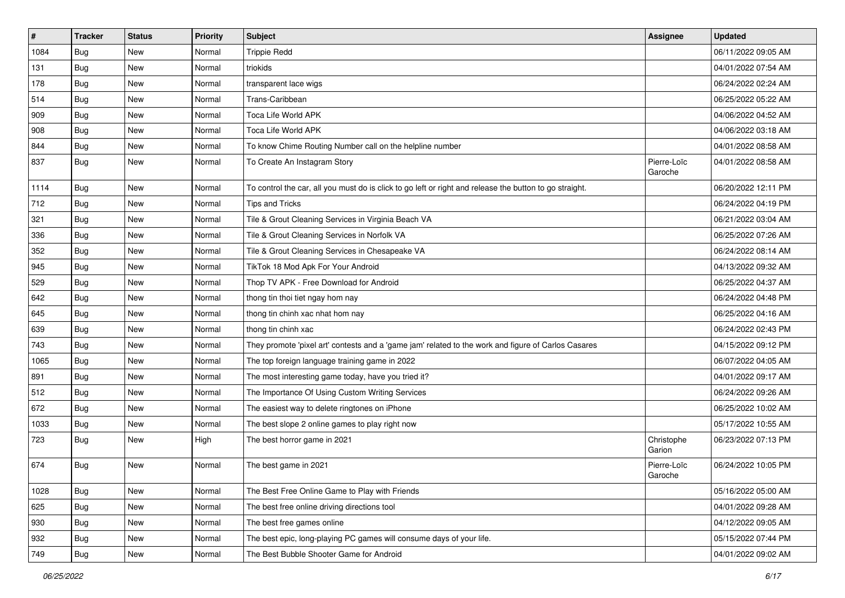| $\vert$ # | <b>Tracker</b> | <b>Status</b> | <b>Priority</b> | <b>Subject</b>                                                                                          | Assignee               | <b>Updated</b>      |
|-----------|----------------|---------------|-----------------|---------------------------------------------------------------------------------------------------------|------------------------|---------------------|
| 1084      | <b>Bug</b>     | New           | Normal          | <b>Trippie Redd</b>                                                                                     |                        | 06/11/2022 09:05 AM |
| 131       | Bug            | New           | Normal          | triokids                                                                                                |                        | 04/01/2022 07:54 AM |
| 178       | Bug            | New           | Normal          | transparent lace wigs                                                                                   |                        | 06/24/2022 02:24 AM |
| 514       | <b>Bug</b>     | New           | Normal          | Trans-Caribbean                                                                                         |                        | 06/25/2022 05:22 AM |
| 909       | Bug            | New           | Normal          | Toca Life World APK                                                                                     |                        | 04/06/2022 04:52 AM |
| 908       | Bug            | New           | Normal          | Toca Life World APK                                                                                     |                        | 04/06/2022 03:18 AM |
| 844       | Bug            | New           | Normal          | To know Chime Routing Number call on the helpline number                                                |                        | 04/01/2022 08:58 AM |
| 837       | Bug            | New           | Normal          | To Create An Instagram Story                                                                            | Pierre-Loïc<br>Garoche | 04/01/2022 08:58 AM |
| 1114      | <b>Bug</b>     | <b>New</b>    | Normal          | To control the car, all you must do is click to go left or right and release the button to go straight. |                        | 06/20/2022 12:11 PM |
| 712       | Bug            | New           | Normal          | <b>Tips and Tricks</b>                                                                                  |                        | 06/24/2022 04:19 PM |
| 321       | <b>Bug</b>     | New           | Normal          | Tile & Grout Cleaning Services in Virginia Beach VA                                                     |                        | 06/21/2022 03:04 AM |
| 336       | Bug            | New           | Normal          | Tile & Grout Cleaning Services in Norfolk VA                                                            |                        | 06/25/2022 07:26 AM |
| 352       | <b>Bug</b>     | New           | Normal          | Tile & Grout Cleaning Services in Chesapeake VA                                                         |                        | 06/24/2022 08:14 AM |
| 945       | Bug            | New           | Normal          | TikTok 18 Mod Apk For Your Android                                                                      |                        | 04/13/2022 09:32 AM |
| 529       | Bug            | New           | Normal          | Thop TV APK - Free Download for Android                                                                 |                        | 06/25/2022 04:37 AM |
| 642       | <b>Bug</b>     | New           | Normal          | thong tin thoi tiet ngay hom nay                                                                        |                        | 06/24/2022 04:48 PM |
| 645       | Bug            | New           | Normal          | thong tin chinh xac nhat hom nay                                                                        |                        | 06/25/2022 04:16 AM |
| 639       | Bug            | New           | Normal          | thong tin chinh xac                                                                                     |                        | 06/24/2022 02:43 PM |
| 743       | Bug            | New           | Normal          | They promote 'pixel art' contests and a 'game jam' related to the work and figure of Carlos Casares     |                        | 04/15/2022 09:12 PM |
| 1065      | Bug            | New           | Normal          | The top foreign language training game in 2022                                                          |                        | 06/07/2022 04:05 AM |
| 891       | Bug            | New           | Normal          | The most interesting game today, have you tried it?                                                     |                        | 04/01/2022 09:17 AM |
| 512       | Bug            | New           | Normal          | The Importance Of Using Custom Writing Services                                                         |                        | 06/24/2022 09:26 AM |
| 672       | Bug            | New           | Normal          | The easiest way to delete ringtones on iPhone                                                           |                        | 06/25/2022 10:02 AM |
| 1033      | <b>Bug</b>     | New           | Normal          | The best slope 2 online games to play right now                                                         |                        | 05/17/2022 10:55 AM |
| 723       | Bug            | New           | High            | The best horror game in 2021                                                                            | Christophe<br>Garion   | 06/23/2022 07:13 PM |
| 674       | Bug            | New           | Normal          | The best game in 2021                                                                                   | Pierre-Loïc<br>Garoche | 06/24/2022 10:05 PM |
| 1028      | Bug            | New           | Normal          | The Best Free Online Game to Play with Friends                                                          |                        | 05/16/2022 05:00 AM |
| 625       | Bug            | New           | Normal          | The best free online driving directions tool                                                            |                        | 04/01/2022 09:28 AM |
| 930       | Bug            | New           | Normal          | The best free games online                                                                              |                        | 04/12/2022 09:05 AM |
| 932       | Bug            | New           | Normal          | The best epic, long-playing PC games will consume days of your life.                                    |                        | 05/15/2022 07:44 PM |
| 749       | <b>Bug</b>     | New           | Normal          | The Best Bubble Shooter Game for Android                                                                |                        | 04/01/2022 09:02 AM |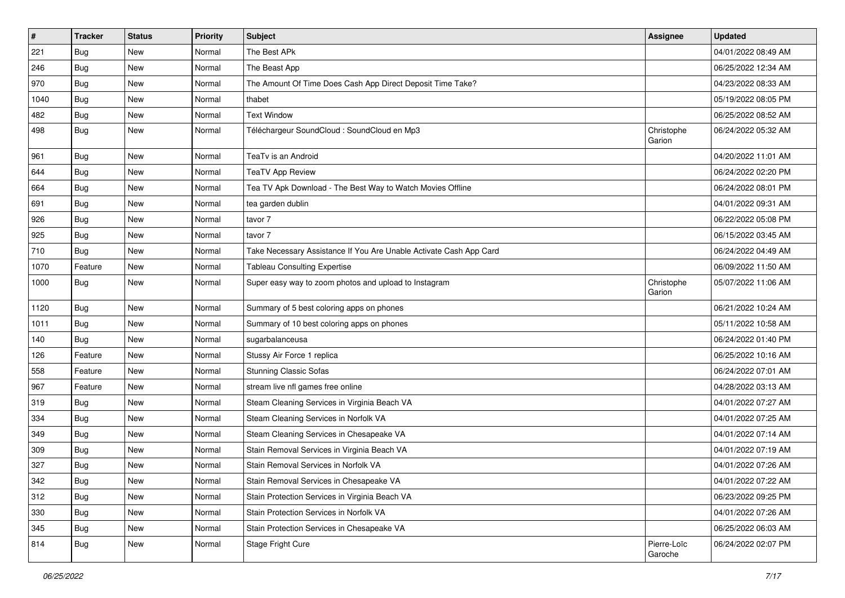| $\sharp$ | <b>Tracker</b> | <b>Status</b> | Priority | <b>Subject</b>                                                     | Assignee               | <b>Updated</b>      |
|----------|----------------|---------------|----------|--------------------------------------------------------------------|------------------------|---------------------|
| 221      | Bug            | New           | Normal   | The Best APk                                                       |                        | 04/01/2022 08:49 AM |
| 246      | Bug            | New           | Normal   | The Beast App                                                      |                        | 06/25/2022 12:34 AM |
| 970      | Bug            | New           | Normal   | The Amount Of Time Does Cash App Direct Deposit Time Take?         |                        | 04/23/2022 08:33 AM |
| 1040     | Bug            | New           | Normal   | thabet                                                             |                        | 05/19/2022 08:05 PM |
| 482      | Bug            | New           | Normal   | <b>Text Window</b>                                                 |                        | 06/25/2022 08:52 AM |
| 498      | Bug            | New           | Normal   | Téléchargeur SoundCloud : SoundCloud en Mp3                        | Christophe<br>Garion   | 06/24/2022 05:32 AM |
| 961      | Bug            | <b>New</b>    | Normal   | TeaTv is an Android                                                |                        | 04/20/2022 11:01 AM |
| 644      | Bug            | New           | Normal   | <b>TeaTV App Review</b>                                            |                        | 06/24/2022 02:20 PM |
| 664      | Bug            | <b>New</b>    | Normal   | Tea TV Apk Download - The Best Way to Watch Movies Offline         |                        | 06/24/2022 08:01 PM |
| 691      | Bug            | New           | Normal   | tea garden dublin                                                  |                        | 04/01/2022 09:31 AM |
| 926      | Bug            | <b>New</b>    | Normal   | tavor 7                                                            |                        | 06/22/2022 05:08 PM |
| 925      | Bug            | New           | Normal   | tavor 7                                                            |                        | 06/15/2022 03:45 AM |
| 710      | Bug            | New           | Normal   | Take Necessary Assistance If You Are Unable Activate Cash App Card |                        | 06/24/2022 04:49 AM |
| 1070     | Feature        | <b>New</b>    | Normal   | <b>Tableau Consulting Expertise</b>                                |                        | 06/09/2022 11:50 AM |
| 1000     | Bug            | New           | Normal   | Super easy way to zoom photos and upload to Instagram              | Christophe<br>Garion   | 05/07/2022 11:06 AM |
| 1120     | Bug            | <b>New</b>    | Normal   | Summary of 5 best coloring apps on phones                          |                        | 06/21/2022 10:24 AM |
| 1011     | Bug            | New           | Normal   | Summary of 10 best coloring apps on phones                         |                        | 05/11/2022 10:58 AM |
| 140      | Bug            | <b>New</b>    | Normal   | sugarbalanceusa                                                    |                        | 06/24/2022 01:40 PM |
| 126      | Feature        | <b>New</b>    | Normal   | Stussy Air Force 1 replica                                         |                        | 06/25/2022 10:16 AM |
| 558      | Feature        | <b>New</b>    | Normal   | <b>Stunning Classic Sofas</b>                                      |                        | 06/24/2022 07:01 AM |
| 967      | Feature        | <b>New</b>    | Normal   | stream live nfl games free online                                  |                        | 04/28/2022 03:13 AM |
| 319      | Bug            | New           | Normal   | Steam Cleaning Services in Virginia Beach VA                       |                        | 04/01/2022 07:27 AM |
| 334      | Bug            | New           | Normal   | Steam Cleaning Services in Norfolk VA                              |                        | 04/01/2022 07:25 AM |
| 349      | Bug            | <b>New</b>    | Normal   | Steam Cleaning Services in Chesapeake VA                           |                        | 04/01/2022 07:14 AM |
| 309      | Bug            | New           | Normal   | Stain Removal Services in Virginia Beach VA                        |                        | 04/01/2022 07:19 AM |
| 327      | Bug            | <b>New</b>    | Normal   | Stain Removal Services in Norfolk VA                               |                        | 04/01/2022 07:26 AM |
| 342      | Bug            | New           | Normal   | Stain Removal Services in Chesapeake VA                            |                        | 04/01/2022 07:22 AM |
| 312      | Bug            | New           | Normal   | Stain Protection Services in Virginia Beach VA                     |                        | 06/23/2022 09:25 PM |
| 330      | Bug            | <b>New</b>    | Normal   | Stain Protection Services in Norfolk VA                            |                        | 04/01/2022 07:26 AM |
| 345      | Bug            | New           | Normal   | Stain Protection Services in Chesapeake VA                         |                        | 06/25/2022 06:03 AM |
| 814      | <b>Bug</b>     | New           | Normal   | Stage Fright Cure                                                  | Pierre-Loïc<br>Garoche | 06/24/2022 02:07 PM |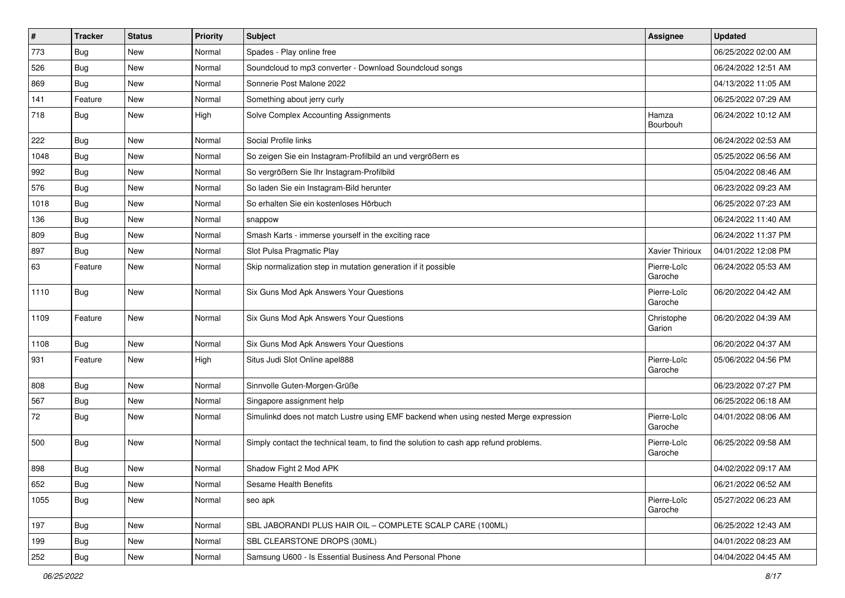| $\pmb{\#}$ | <b>Tracker</b> | <b>Status</b> | <b>Priority</b> | Subject                                                                              | Assignee               | <b>Updated</b>      |
|------------|----------------|---------------|-----------------|--------------------------------------------------------------------------------------|------------------------|---------------------|
| 773        | <b>Bug</b>     | New           | Normal          | Spades - Play online free                                                            |                        | 06/25/2022 02:00 AM |
| 526        | Bug            | <b>New</b>    | Normal          | Soundcloud to mp3 converter - Download Soundcloud songs                              |                        | 06/24/2022 12:51 AM |
| 869        | Bug            | <b>New</b>    | Normal          | Sonnerie Post Malone 2022                                                            |                        | 04/13/2022 11:05 AM |
| 141        | Feature        | New           | Normal          | Something about jerry curly                                                          |                        | 06/25/2022 07:29 AM |
| 718        | Bug            | <b>New</b>    | High            | Solve Complex Accounting Assignments                                                 | Hamza<br>Bourbouh      | 06/24/2022 10:12 AM |
| 222        | Bug            | New           | Normal          | Social Profile links                                                                 |                        | 06/24/2022 02:53 AM |
| 1048       | Bug            | <b>New</b>    | Normal          | So zeigen Sie ein Instagram-Profilbild an und vergrößern es                          |                        | 05/25/2022 06:56 AM |
| 992        | Bug            | <b>New</b>    | Normal          | So vergrößern Sie Ihr Instagram-Profilbild                                           |                        | 05/04/2022 08:46 AM |
| 576        | Bug            | New           | Normal          | So laden Sie ein Instagram-Bild herunter                                             |                        | 06/23/2022 09:23 AM |
| 1018       | Bug            | New           | Normal          | So erhalten Sie ein kostenloses Hörbuch                                              |                        | 06/25/2022 07:23 AM |
| 136        | Bug            | New           | Normal          | snappow                                                                              |                        | 06/24/2022 11:40 AM |
| 809        | Bug            | <b>New</b>    | Normal          | Smash Karts - immerse yourself in the exciting race                                  |                        | 06/24/2022 11:37 PM |
| 897        | <b>Bug</b>     | New           | Normal          | Slot Pulsa Pragmatic Play                                                            | Xavier Thirioux        | 04/01/2022 12:08 PM |
| 63         | Feature        | New           | Normal          | Skip normalization step in mutation generation if it possible                        | Pierre-Loïc<br>Garoche | 06/24/2022 05:53 AM |
| 1110       | Bug            | New           | Normal          | Six Guns Mod Apk Answers Your Questions                                              | Pierre-Loïc<br>Garoche | 06/20/2022 04:42 AM |
| 1109       | Feature        | New           | Normal          | Six Guns Mod Apk Answers Your Questions                                              | Christophe<br>Garion   | 06/20/2022 04:39 AM |
| 1108       | Bug            | New           | Normal          | Six Guns Mod Apk Answers Your Questions                                              |                        | 06/20/2022 04:37 AM |
| 931        | Feature        | <b>New</b>    | High            | Situs Judi Slot Online apel888                                                       | Pierre-Loïc<br>Garoche | 05/06/2022 04:56 PM |
| 808        | Bug            | <b>New</b>    | Normal          | Sinnvolle Guten-Morgen-Grüße                                                         |                        | 06/23/2022 07:27 PM |
| 567        | Bug            | New           | Normal          | Singapore assignment help                                                            |                        | 06/25/2022 06:18 AM |
| 72         | Bug            | New           | Normal          | Simulinkd does not match Lustre using EMF backend when using nested Merge expression | Pierre-Loïc<br>Garoche | 04/01/2022 08:06 AM |
| 500        | Bug            | New           | Normal          | Simply contact the technical team, to find the solution to cash app refund problems. | Pierre-Loïc<br>Garoche | 06/25/2022 09:58 AM |
| 898        | Bug            | New           | Normal          | Shadow Fight 2 Mod APK                                                               |                        | 04/02/2022 09:17 AM |
| 652        | Bug            | New           | Normal          | Sesame Health Benefits                                                               |                        | 06/21/2022 06:52 AM |
| 1055       | Bug            | New           | Normal          | seo apk                                                                              | Pierre-Loïc<br>Garoche | 05/27/2022 06:23 AM |
| 197        | Bug            | New           | Normal          | SBL JABORANDI PLUS HAIR OIL - COMPLETE SCALP CARE (100ML)                            |                        | 06/25/2022 12:43 AM |
| 199        | Bug            | New           | Normal          | SBL CLEARSTONE DROPS (30ML)                                                          |                        | 04/01/2022 08:23 AM |
| 252        | Bug            | New           | Normal          | Samsung U600 - Is Essential Business And Personal Phone                              |                        | 04/04/2022 04:45 AM |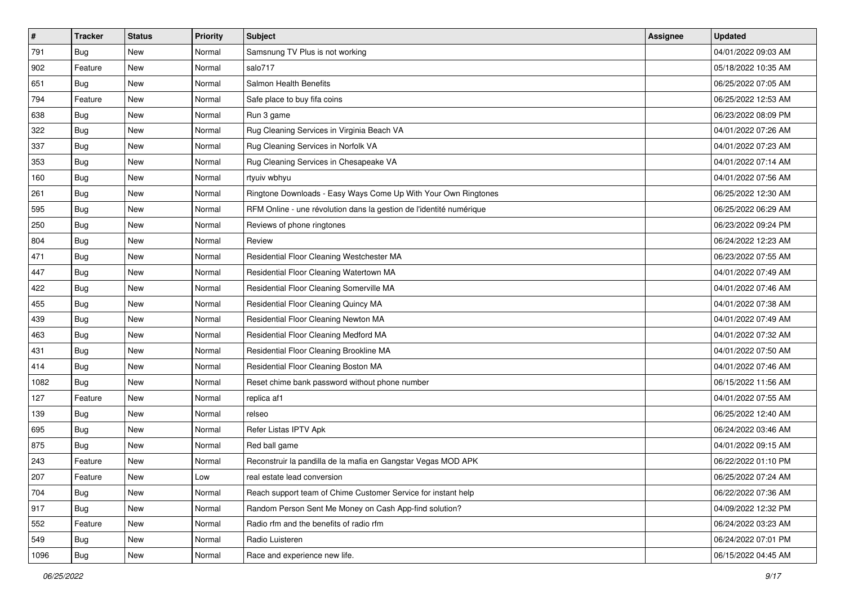| $\sharp$ | <b>Tracker</b> | <b>Status</b> | <b>Priority</b> | <b>Subject</b>                                                      | <b>Assignee</b> | <b>Updated</b>      |
|----------|----------------|---------------|-----------------|---------------------------------------------------------------------|-----------------|---------------------|
| 791      | Bug            | New           | Normal          | Samsnung TV Plus is not working                                     |                 | 04/01/2022 09:03 AM |
| 902      | Feature        | New           | Normal          | salo717                                                             |                 | 05/18/2022 10:35 AM |
| 651      | <b>Bug</b>     | New           | Normal          | Salmon Health Benefits                                              |                 | 06/25/2022 07:05 AM |
| 794      | Feature        | New           | Normal          | Safe place to buy fifa coins                                        |                 | 06/25/2022 12:53 AM |
| 638      | Bug            | New           | Normal          | Run 3 game                                                          |                 | 06/23/2022 08:09 PM |
| 322      | Bug            | New           | Normal          | Rug Cleaning Services in Virginia Beach VA                          |                 | 04/01/2022 07:26 AM |
| 337      | Bug            | New           | Normal          | Rug Cleaning Services in Norfolk VA                                 |                 | 04/01/2022 07:23 AM |
| 353      | Bug            | New           | Normal          | Rug Cleaning Services in Chesapeake VA                              |                 | 04/01/2022 07:14 AM |
| 160      | Bug            | New           | Normal          | rtyuiv wbhyu                                                        |                 | 04/01/2022 07:56 AM |
| 261      | Bug            | New           | Normal          | Ringtone Downloads - Easy Ways Come Up With Your Own Ringtones      |                 | 06/25/2022 12:30 AM |
| 595      | Bug            | New           | Normal          | RFM Online - une révolution dans la gestion de l'identité numérique |                 | 06/25/2022 06:29 AM |
| 250      | Bug            | New           | Normal          | Reviews of phone ringtones                                          |                 | 06/23/2022 09:24 PM |
| 804      | Bug            | New           | Normal          | Review                                                              |                 | 06/24/2022 12:23 AM |
| 471      | Bug            | New           | Normal          | Residential Floor Cleaning Westchester MA                           |                 | 06/23/2022 07:55 AM |
| 447      | Bug            | New           | Normal          | Residential Floor Cleaning Watertown MA                             |                 | 04/01/2022 07:49 AM |
| 422      | Bug            | New           | Normal          | Residential Floor Cleaning Somerville MA                            |                 | 04/01/2022 07:46 AM |
| 455      | Bug            | New           | Normal          | Residential Floor Cleaning Quincy MA                                |                 | 04/01/2022 07:38 AM |
| 439      | Bug            | New           | Normal          | Residential Floor Cleaning Newton MA                                |                 | 04/01/2022 07:49 AM |
| 463      | Bug            | New           | Normal          | Residential Floor Cleaning Medford MA                               |                 | 04/01/2022 07:32 AM |
| 431      | Bug            | New           | Normal          | Residential Floor Cleaning Brookline MA                             |                 | 04/01/2022 07:50 AM |
| 414      | Bug            | New           | Normal          | Residential Floor Cleaning Boston MA                                |                 | 04/01/2022 07:46 AM |
| 1082     | Bug            | New           | Normal          | Reset chime bank password without phone number                      |                 | 06/15/2022 11:56 AM |
| 127      | Feature        | New           | Normal          | replica af1                                                         |                 | 04/01/2022 07:55 AM |
| 139      | Bug            | New           | Normal          | relseo                                                              |                 | 06/25/2022 12:40 AM |
| 695      | Bug            | New           | Normal          | Refer Listas IPTV Apk                                               |                 | 06/24/2022 03:46 AM |
| 875      | Bug            | New           | Normal          | Red ball game                                                       |                 | 04/01/2022 09:15 AM |
| 243      | Feature        | New           | Normal          | Reconstruir la pandilla de la mafia en Gangstar Vegas MOD APK       |                 | 06/22/2022 01:10 PM |
| 207      | Feature        | New           | Low             | real estate lead conversion                                         |                 | 06/25/2022 07:24 AM |
| 704      | Bug            | New           | Normal          | Reach support team of Chime Customer Service for instant help       |                 | 06/22/2022 07:36 AM |
| 917      | Bug            | New           | Normal          | Random Person Sent Me Money on Cash App-find solution?              |                 | 04/09/2022 12:32 PM |
| 552      | Feature        | New           | Normal          | Radio rfm and the benefits of radio rfm                             |                 | 06/24/2022 03:23 AM |
| 549      | Bug            | New           | Normal          | Radio Luisteren                                                     |                 | 06/24/2022 07:01 PM |
| 1096     | <b>Bug</b>     | New           | Normal          | Race and experience new life.                                       |                 | 06/15/2022 04:45 AM |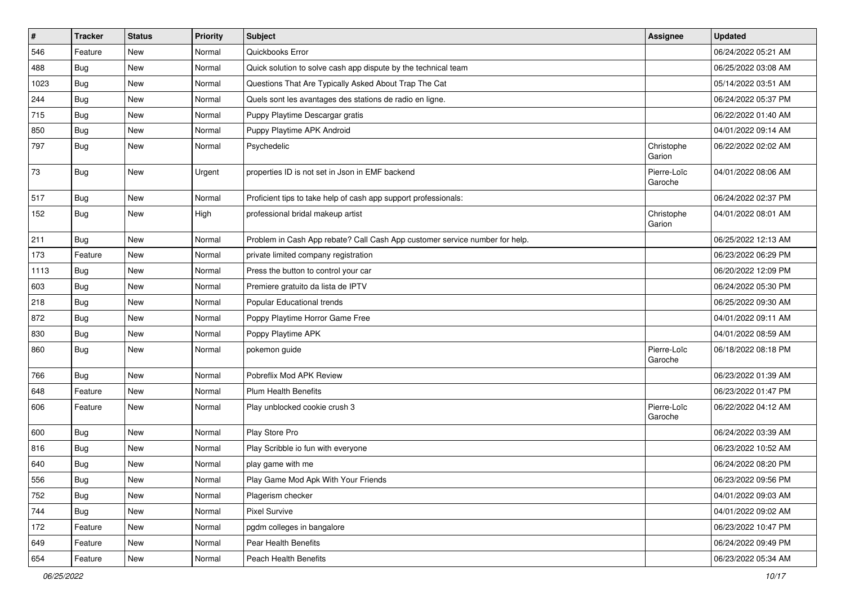| $\pmb{\#}$ | <b>Tracker</b> | <b>Status</b> | <b>Priority</b> | <b>Subject</b>                                                              | Assignee               | <b>Updated</b>      |
|------------|----------------|---------------|-----------------|-----------------------------------------------------------------------------|------------------------|---------------------|
| 546        | Feature        | New           | Normal          | Quickbooks Error                                                            |                        | 06/24/2022 05:21 AM |
| 488        | Bug            | New           | Normal          | Quick solution to solve cash app dispute by the technical team              |                        | 06/25/2022 03:08 AM |
| 1023       | Bug            | New           | Normal          | Questions That Are Typically Asked About Trap The Cat                       |                        | 05/14/2022 03:51 AM |
| 244        | Bug            | New           | Normal          | Quels sont les avantages des stations de radio en ligne.                    |                        | 06/24/2022 05:37 PM |
| 715        | Bug            | New           | Normal          | Puppy Playtime Descargar gratis                                             |                        | 06/22/2022 01:40 AM |
| 850        | Bug            | New           | Normal          | Puppy Playtime APK Android                                                  |                        | 04/01/2022 09:14 AM |
| 797        | Bug            | New           | Normal          | Psychedelic                                                                 | Christophe<br>Garion   | 06/22/2022 02:02 AM |
| 73         | Bug            | New           | Urgent          | properties ID is not set in Json in EMF backend                             | Pierre-Loïc<br>Garoche | 04/01/2022 08:06 AM |
| 517        | Bug            | New           | Normal          | Proficient tips to take help of cash app support professionals:             |                        | 06/24/2022 02:37 PM |
| 152        | Bug            | New           | High            | professional bridal makeup artist                                           | Christophe<br>Garion   | 04/01/2022 08:01 AM |
| 211        | Bug            | New           | Normal          | Problem in Cash App rebate? Call Cash App customer service number for help. |                        | 06/25/2022 12:13 AM |
| 173        | Feature        | New           | Normal          | private limited company registration                                        |                        | 06/23/2022 06:29 PM |
| 1113       | Bug            | New           | Normal          | Press the button to control your car                                        |                        | 06/20/2022 12:09 PM |
| 603        | <b>Bug</b>     | New           | Normal          | Premiere gratuito da lista de IPTV                                          |                        | 06/24/2022 05:30 PM |
| 218        | Bug            | New           | Normal          | Popular Educational trends                                                  |                        | 06/25/2022 09:30 AM |
| 872        | Bug            | New           | Normal          | Poppy Playtime Horror Game Free                                             |                        | 04/01/2022 09:11 AM |
| 830        | Bug            | New           | Normal          | Poppy Playtime APK                                                          |                        | 04/01/2022 08:59 AM |
| 860        | Bug            | New           | Normal          | pokemon guide                                                               | Pierre-Loïc<br>Garoche | 06/18/2022 08:18 PM |
| 766        | Bug            | <b>New</b>    | Normal          | Pobreflix Mod APK Review                                                    |                        | 06/23/2022 01:39 AM |
| 648        | Feature        | New           | Normal          | <b>Plum Health Benefits</b>                                                 |                        | 06/23/2022 01:47 PM |
| 606        | Feature        | New           | Normal          | Play unblocked cookie crush 3                                               | Pierre-Loïc<br>Garoche | 06/22/2022 04:12 AM |
| 600        | <b>Bug</b>     | New           | Normal          | Play Store Pro                                                              |                        | 06/24/2022 03:39 AM |
| 816        | Bug            | New           | Normal          | Play Scribble io fun with everyone                                          |                        | 06/23/2022 10:52 AM |
| 640        | <b>Bug</b>     | New           | Normal          | play game with me                                                           |                        | 06/24/2022 08:20 PM |
| 556        | <b>Bug</b>     | New           | Normal          | Play Game Mod Apk With Your Friends                                         |                        | 06/23/2022 09:56 PM |
| 752        | Bug            | New           | Normal          | Plagerism checker                                                           |                        | 04/01/2022 09:03 AM |
| 744        | Bug            | New           | Normal          | <b>Pixel Survive</b>                                                        |                        | 04/01/2022 09:02 AM |
| 172        | Feature        | New           | Normal          | pgdm colleges in bangalore                                                  |                        | 06/23/2022 10:47 PM |
| 649        | Feature        | New           | Normal          | Pear Health Benefits                                                        |                        | 06/24/2022 09:49 PM |
| 654        | Feature        | New           | Normal          | Peach Health Benefits                                                       |                        | 06/23/2022 05:34 AM |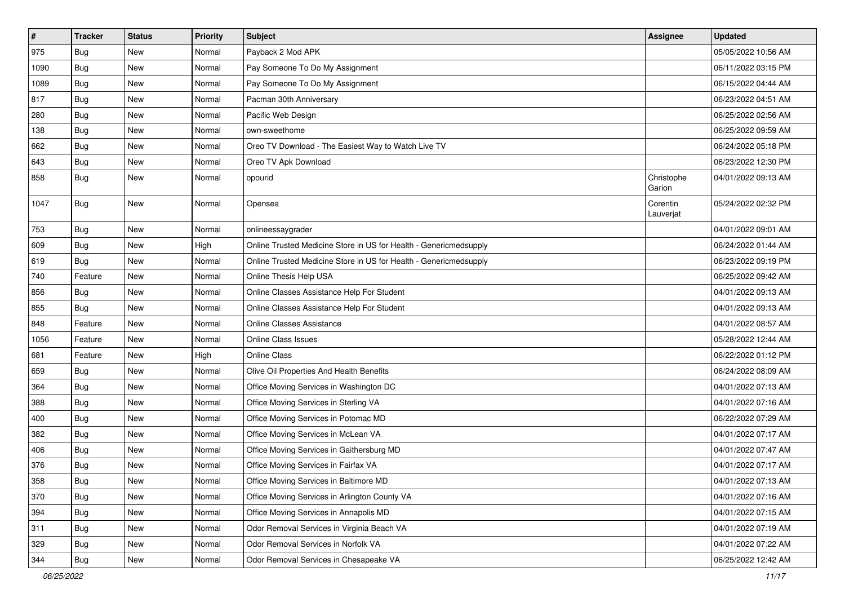| $\pmb{\#}$ | <b>Tracker</b> | <b>Status</b> | <b>Priority</b> | Subject                                                           | Assignee              | <b>Updated</b>      |
|------------|----------------|---------------|-----------------|-------------------------------------------------------------------|-----------------------|---------------------|
| 975        | Bug            | New           | Normal          | Payback 2 Mod APK                                                 |                       | 05/05/2022 10:56 AM |
| 1090       | Bug            | New           | Normal          | Pay Someone To Do My Assignment                                   |                       | 06/11/2022 03:15 PM |
| 1089       | Bug            | New           | Normal          | Pay Someone To Do My Assignment                                   |                       | 06/15/2022 04:44 AM |
| 817        | Bug            | New           | Normal          | Pacman 30th Anniversary                                           |                       | 06/23/2022 04:51 AM |
| 280        | Bug            | <b>New</b>    | Normal          | Pacific Web Design                                                |                       | 06/25/2022 02:56 AM |
| 138        | <b>Bug</b>     | New           | Normal          | own-sweethome                                                     |                       | 06/25/2022 09:59 AM |
| 662        | <b>Bug</b>     | New           | Normal          | Oreo TV Download - The Easiest Way to Watch Live TV               |                       | 06/24/2022 05:18 PM |
| 643        | Bug            | New           | Normal          | Oreo TV Apk Download                                              |                       | 06/23/2022 12:30 PM |
| 858        | Bug            | New           | Normal          | opourid                                                           | Christophe<br>Garion  | 04/01/2022 09:13 AM |
| 1047       | Bug            | New           | Normal          | Opensea                                                           | Corentin<br>Lauverjat | 05/24/2022 02:32 PM |
| 753        | Bug            | New           | Normal          | onlineessaygrader                                                 |                       | 04/01/2022 09:01 AM |
| 609        | Bug            | New           | High            | Online Trusted Medicine Store in US for Health - Genericmedsupply |                       | 06/24/2022 01:44 AM |
| 619        | Bug            | New           | Normal          | Online Trusted Medicine Store in US for Health - Genericmedsupply |                       | 06/23/2022 09:19 PM |
| 740        | Feature        | New           | Normal          | Online Thesis Help USA                                            |                       | 06/25/2022 09:42 AM |
| 856        | Bug            | <b>New</b>    | Normal          | Online Classes Assistance Help For Student                        |                       | 04/01/2022 09:13 AM |
| 855        | Bug            | <b>New</b>    | Normal          | Online Classes Assistance Help For Student                        |                       | 04/01/2022 09:13 AM |
| 848        | Feature        | New           | Normal          | <b>Online Classes Assistance</b>                                  |                       | 04/01/2022 08:57 AM |
| 1056       | Feature        | New           | Normal          | <b>Online Class Issues</b>                                        |                       | 05/28/2022 12:44 AM |
| 681        | Feature        | New           | High            | <b>Online Class</b>                                               |                       | 06/22/2022 01:12 PM |
| 659        | Bug            | New           | Normal          | Olive Oil Properties And Health Benefits                          |                       | 06/24/2022 08:09 AM |
| 364        | Bug            | New           | Normal          | Office Moving Services in Washington DC                           |                       | 04/01/2022 07:13 AM |
| 388        | Bug            | New           | Normal          | Office Moving Services in Sterling VA                             |                       | 04/01/2022 07:16 AM |
| 400        | Bug            | New           | Normal          | Office Moving Services in Potomac MD                              |                       | 06/22/2022 07:29 AM |
| 382        | <b>Bug</b>     | <b>New</b>    | Normal          | Office Moving Services in McLean VA                               |                       | 04/01/2022 07:17 AM |
| 406        | Bug            | New           | Normal          | Office Moving Services in Gaithersburg MD                         |                       | 04/01/2022 07:47 AM |
| 376        | Bug            | New           | Normal          | Office Moving Services in Fairfax VA                              |                       | 04/01/2022 07:17 AM |
| 358        | Bug            | New           | Normal          | Office Moving Services in Baltimore MD                            |                       | 04/01/2022 07:13 AM |
| 370        | Bug            | New           | Normal          | Office Moving Services in Arlington County VA                     |                       | 04/01/2022 07:16 AM |
| 394        | Bug            | New           | Normal          | Office Moving Services in Annapolis MD                            |                       | 04/01/2022 07:15 AM |
| 311        | Bug            | New           | Normal          | Odor Removal Services in Virginia Beach VA                        |                       | 04/01/2022 07:19 AM |
| 329        | Bug            | New           | Normal          | Odor Removal Services in Norfolk VA                               |                       | 04/01/2022 07:22 AM |
| 344        | <b>Bug</b>     | New           | Normal          | Odor Removal Services in Chesapeake VA                            |                       | 06/25/2022 12:42 AM |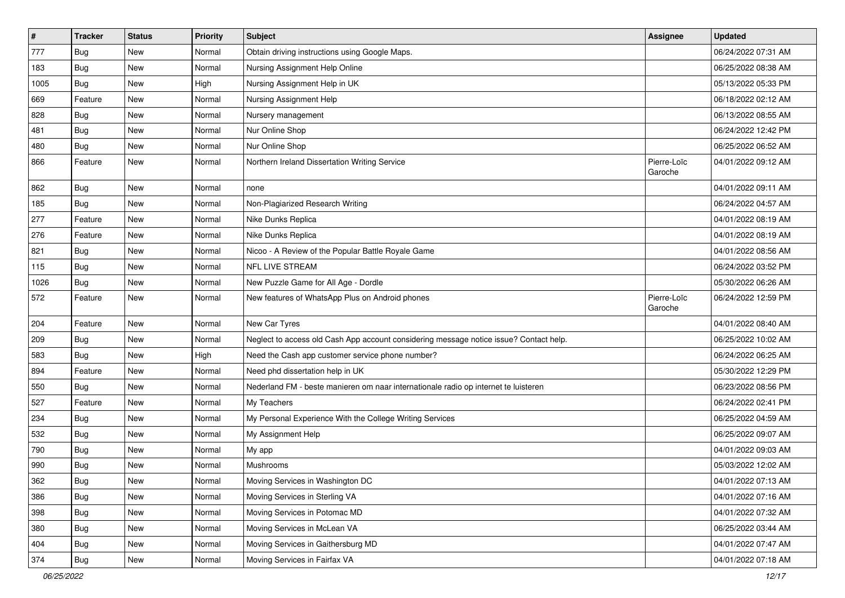| $\pmb{\#}$ | <b>Tracker</b> | <b>Status</b> | <b>Priority</b> | Subject                                                                                | Assignee               | <b>Updated</b>      |
|------------|----------------|---------------|-----------------|----------------------------------------------------------------------------------------|------------------------|---------------------|
| 777        | Bug            | New           | Normal          | Obtain driving instructions using Google Maps.                                         |                        | 06/24/2022 07:31 AM |
| 183        | Bug            | <b>New</b>    | Normal          | Nursing Assignment Help Online                                                         |                        | 06/25/2022 08:38 AM |
| 1005       | Bug            | New           | High            | Nursing Assignment Help in UK                                                          |                        | 05/13/2022 05:33 PM |
| 669        | Feature        | <b>New</b>    | Normal          | Nursing Assignment Help                                                                |                        | 06/18/2022 02:12 AM |
| 828        | <b>Bug</b>     | <b>New</b>    | Normal          | Nursery management                                                                     |                        | 06/13/2022 08:55 AM |
| 481        | Bug            | New           | Normal          | Nur Online Shop                                                                        |                        | 06/24/2022 12:42 PM |
| 480        | Bug            | <b>New</b>    | Normal          | Nur Online Shop                                                                        |                        | 06/25/2022 06:52 AM |
| 866        | Feature        | New           | Normal          | Northern Ireland Dissertation Writing Service                                          | Pierre-Loïc<br>Garoche | 04/01/2022 09:12 AM |
| 862        | Bug            | <b>New</b>    | Normal          | none                                                                                   |                        | 04/01/2022 09:11 AM |
| 185        | Bug            | New           | Normal          | Non-Plagiarized Research Writing                                                       |                        | 06/24/2022 04:57 AM |
| 277        | Feature        | New           | Normal          | Nike Dunks Replica                                                                     |                        | 04/01/2022 08:19 AM |
| 276        | Feature        | <b>New</b>    | Normal          | Nike Dunks Replica                                                                     |                        | 04/01/2022 08:19 AM |
| 821        | Bug            | New           | Normal          | Nicoo - A Review of the Popular Battle Royale Game                                     |                        | 04/01/2022 08:56 AM |
| 115        | <b>Bug</b>     | New           | Normal          | NFL LIVE STREAM                                                                        |                        | 06/24/2022 03:52 PM |
| 1026       | Bug            | New           | Normal          | New Puzzle Game for All Age - Dordle                                                   |                        | 05/30/2022 06:26 AM |
| 572        | Feature        | New           | Normal          | New features of WhatsApp Plus on Android phones                                        | Pierre-Loïc<br>Garoche | 06/24/2022 12:59 PM |
| 204        | Feature        | New           | Normal          | New Car Tyres                                                                          |                        | 04/01/2022 08:40 AM |
| 209        | Bug            | <b>New</b>    | Normal          | Neglect to access old Cash App account considering message notice issue? Contact help. |                        | 06/25/2022 10:02 AM |
| 583        | <b>Bug</b>     | <b>New</b>    | High            | Need the Cash app customer service phone number?                                       |                        | 06/24/2022 06:25 AM |
| 894        | Feature        | <b>New</b>    | Normal          | Need phd dissertation help in UK                                                       |                        | 05/30/2022 12:29 PM |
| 550        | Bug            | <b>New</b>    | Normal          | Nederland FM - beste manieren om naar internationale radio op internet te luisteren    |                        | 06/23/2022 08:56 PM |
| 527        | Feature        | New           | Normal          | My Teachers                                                                            |                        | 06/24/2022 02:41 PM |
| 234        | Bug            | New           | Normal          | My Personal Experience With the College Writing Services                               |                        | 06/25/2022 04:59 AM |
| 532        | <b>Bug</b>     | <b>New</b>    | Normal          | My Assignment Help                                                                     |                        | 06/25/2022 09:07 AM |
| 790        | Bug            | New           | Normal          | My app                                                                                 |                        | 04/01/2022 09:03 AM |
| 990        | <b>Bug</b>     | <b>New</b>    | Normal          | Mushrooms                                                                              |                        | 05/03/2022 12:02 AM |
| 362        | Bug            | New           | Normal          | Moving Services in Washington DC                                                       |                        | 04/01/2022 07:13 AM |
| 386        | Bug            | New           | Normal          | Moving Services in Sterling VA                                                         |                        | 04/01/2022 07:16 AM |
| 398        | Bug            | New           | Normal          | Moving Services in Potomac MD                                                          |                        | 04/01/2022 07:32 AM |
| 380        | <b>Bug</b>     | New           | Normal          | Moving Services in McLean VA                                                           |                        | 06/25/2022 03:44 AM |
| 404        | Bug            | New           | Normal          | Moving Services in Gaithersburg MD                                                     |                        | 04/01/2022 07:47 AM |
| 374        | <b>Bug</b>     | New           | Normal          | Moving Services in Fairfax VA                                                          |                        | 04/01/2022 07:18 AM |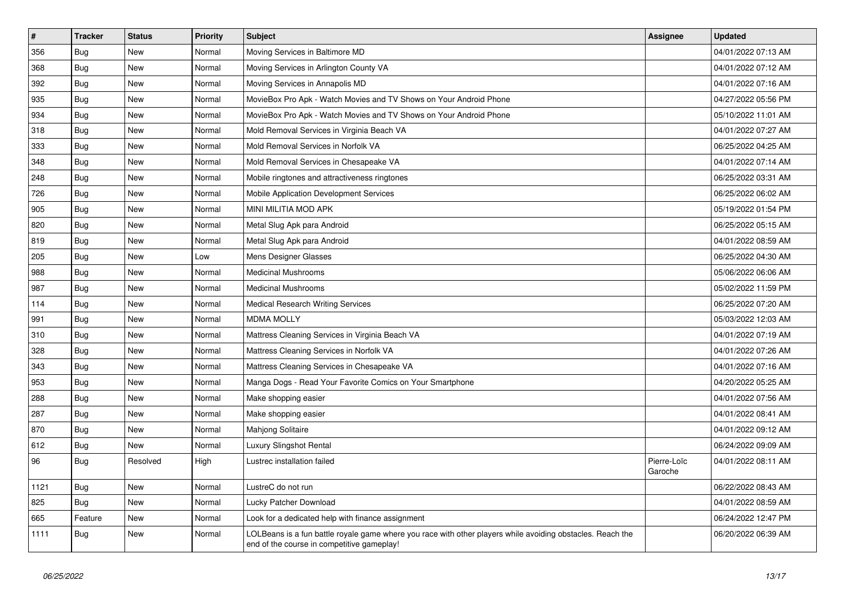| $\vert$ # | <b>Tracker</b> | <b>Status</b> | <b>Priority</b> | <b>Subject</b>                                                                                                                                           | <b>Assignee</b>        | <b>Updated</b>      |
|-----------|----------------|---------------|-----------------|----------------------------------------------------------------------------------------------------------------------------------------------------------|------------------------|---------------------|
| 356       | Bug            | <b>New</b>    | Normal          | Moving Services in Baltimore MD                                                                                                                          |                        | 04/01/2022 07:13 AM |
| 368       | Bug            | <b>New</b>    | Normal          | Moving Services in Arlington County VA                                                                                                                   |                        | 04/01/2022 07:12 AM |
| 392       | Bug            | New           | Normal          | Moving Services in Annapolis MD                                                                                                                          |                        | 04/01/2022 07:16 AM |
| 935       | Bug            | New           | Normal          | MovieBox Pro Apk - Watch Movies and TV Shows on Your Android Phone                                                                                       |                        | 04/27/2022 05:56 PM |
| 934       | Bug            | New           | Normal          | MovieBox Pro Apk - Watch Movies and TV Shows on Your Android Phone                                                                                       |                        | 05/10/2022 11:01 AM |
| 318       | <b>Bug</b>     | New           | Normal          | Mold Removal Services in Virginia Beach VA                                                                                                               |                        | 04/01/2022 07:27 AM |
| 333       | Bug            | New           | Normal          | Mold Removal Services in Norfolk VA                                                                                                                      |                        | 06/25/2022 04:25 AM |
| 348       | Bug            | New           | Normal          | Mold Removal Services in Chesapeake VA                                                                                                                   |                        | 04/01/2022 07:14 AM |
| 248       | <b>Bug</b>     | New           | Normal          | Mobile ringtones and attractiveness ringtones                                                                                                            |                        | 06/25/2022 03:31 AM |
| 726       | Bug            | New           | Normal          | Mobile Application Development Services                                                                                                                  |                        | 06/25/2022 06:02 AM |
| 905       | Bug            | New           | Normal          | MINI MILITIA MOD APK                                                                                                                                     |                        | 05/19/2022 01:54 PM |
| 820       | Bug            | New           | Normal          | Metal Slug Apk para Android                                                                                                                              |                        | 06/25/2022 05:15 AM |
| 819       | Bug            | New           | Normal          | Metal Slug Apk para Android                                                                                                                              |                        | 04/01/2022 08:59 AM |
| 205       | Bug            | New           | Low             | Mens Designer Glasses                                                                                                                                    |                        | 06/25/2022 04:30 AM |
| 988       | Bug            | New           | Normal          | <b>Medicinal Mushrooms</b>                                                                                                                               |                        | 05/06/2022 06:06 AM |
| 987       | <b>Bug</b>     | New           | Normal          | <b>Medicinal Mushrooms</b>                                                                                                                               |                        | 05/02/2022 11:59 PM |
| 114       | <b>Bug</b>     | New           | Normal          | <b>Medical Research Writing Services</b>                                                                                                                 |                        | 06/25/2022 07:20 AM |
| 991       | Bug            | <b>New</b>    | Normal          | <b>MDMA MOLLY</b>                                                                                                                                        |                        | 05/03/2022 12:03 AM |
| 310       | Bug            | New           | Normal          | Mattress Cleaning Services in Virginia Beach VA                                                                                                          |                        | 04/01/2022 07:19 AM |
| 328       | Bug            | New           | Normal          | Mattress Cleaning Services in Norfolk VA                                                                                                                 |                        | 04/01/2022 07:26 AM |
| 343       | Bug            | <b>New</b>    | Normal          | Mattress Cleaning Services in Chesapeake VA                                                                                                              |                        | 04/01/2022 07:16 AM |
| 953       | Bug            | New           | Normal          | Manga Dogs - Read Your Favorite Comics on Your Smartphone                                                                                                |                        | 04/20/2022 05:25 AM |
| 288       | Bug            | New           | Normal          | Make shopping easier                                                                                                                                     |                        | 04/01/2022 07:56 AM |
| 287       | <b>Bug</b>     | New           | Normal          | Make shopping easier                                                                                                                                     |                        | 04/01/2022 08:41 AM |
| 870       | <b>Bug</b>     | New           | Normal          | Mahjong Solitaire                                                                                                                                        |                        | 04/01/2022 09:12 AM |
| 612       | <b>Bug</b>     | <b>New</b>    | Normal          | <b>Luxury Slingshot Rental</b>                                                                                                                           |                        | 06/24/2022 09:09 AM |
| 96        | Bug            | Resolved      | High            | Lustrec installation failed                                                                                                                              | Pierre-Loïc<br>Garoche | 04/01/2022 08:11 AM |
| 1121      | Bug            | <b>New</b>    | Normal          | LustreC do not run                                                                                                                                       |                        | 06/22/2022 08:43 AM |
| 825       | Bug            | <b>New</b>    | Normal          | Lucky Patcher Download                                                                                                                                   |                        | 04/01/2022 08:59 AM |
| 665       | Feature        | <b>New</b>    | Normal          | Look for a dedicated help with finance assignment                                                                                                        |                        | 06/24/2022 12:47 PM |
| 1111      | <b>Bug</b>     | New           | Normal          | LOLBeans is a fun battle royale game where you race with other players while avoiding obstacles. Reach the<br>end of the course in competitive gameplay! |                        | 06/20/2022 06:39 AM |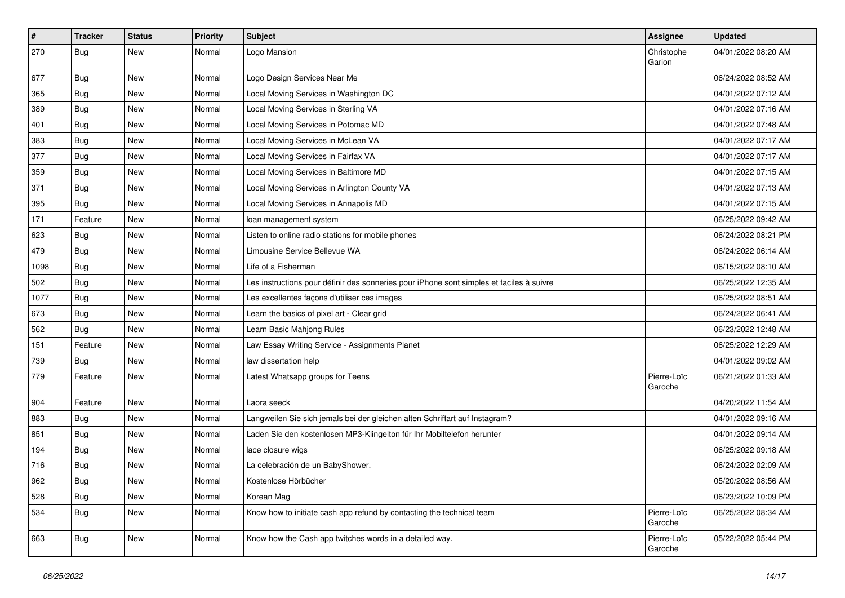| $\vert$ # | <b>Tracker</b> | <b>Status</b> | Priority | <b>Subject</b>                                                                           | <b>Assignee</b>        | <b>Updated</b>      |
|-----------|----------------|---------------|----------|------------------------------------------------------------------------------------------|------------------------|---------------------|
| 270       | Bug            | New           | Normal   | Logo Mansion                                                                             | Christophe<br>Garion   | 04/01/2022 08:20 AM |
| 677       | <b>Bug</b>     | New           | Normal   | Logo Design Services Near Me                                                             |                        | 06/24/2022 08:52 AM |
| 365       | <b>Bug</b>     | New           | Normal   | Local Moving Services in Washington DC                                                   |                        | 04/01/2022 07:12 AM |
| 389       | Bug            | <b>New</b>    | Normal   | Local Moving Services in Sterling VA                                                     |                        | 04/01/2022 07:16 AM |
| 401       | <b>Bug</b>     | New           | Normal   | Local Moving Services in Potomac MD                                                      |                        | 04/01/2022 07:48 AM |
| 383       | Bug            | New           | Normal   | Local Moving Services in McLean VA                                                       |                        | 04/01/2022 07:17 AM |
| 377       | Bug            | New           | Normal   | Local Moving Services in Fairfax VA                                                      |                        | 04/01/2022 07:17 AM |
| 359       | <b>Bug</b>     | New           | Normal   | Local Moving Services in Baltimore MD                                                    |                        | 04/01/2022 07:15 AM |
| 371       | Bug            | <b>New</b>    | Normal   | Local Moving Services in Arlington County VA                                             |                        | 04/01/2022 07:13 AM |
| 395       | <b>Bug</b>     | New           | Normal   | Local Moving Services in Annapolis MD                                                    |                        | 04/01/2022 07:15 AM |
| 171       | Feature        | New           | Normal   | loan management system                                                                   |                        | 06/25/2022 09:42 AM |
| 623       | Bug            | New           | Normal   | Listen to online radio stations for mobile phones                                        |                        | 06/24/2022 08:21 PM |
| 479       | Bug            | New           | Normal   | Limousine Service Bellevue WA                                                            |                        | 06/24/2022 06:14 AM |
| 1098      | Bug            | New           | Normal   | Life of a Fisherman                                                                      |                        | 06/15/2022 08:10 AM |
| 502       | Bug            | New           | Normal   | Les instructions pour définir des sonneries pour iPhone sont simples et faciles à suivre |                        | 06/25/2022 12:35 AM |
| 1077      | Bug            | New           | Normal   | Les excellentes façons d'utiliser ces images                                             |                        | 06/25/2022 08:51 AM |
| 673       | Bug            | New           | Normal   | Learn the basics of pixel art - Clear grid                                               |                        | 06/24/2022 06:41 AM |
| 562       | <b>Bug</b>     | New           | Normal   | Learn Basic Mahjong Rules                                                                |                        | 06/23/2022 12:48 AM |
| 151       | Feature        | New           | Normal   | Law Essay Writing Service - Assignments Planet                                           |                        | 06/25/2022 12:29 AM |
| 739       | <b>Bug</b>     | New           | Normal   | law dissertation help                                                                    |                        | 04/01/2022 09:02 AM |
| 779       | Feature        | New           | Normal   | Latest Whatsapp groups for Teens                                                         | Pierre-Loïc<br>Garoche | 06/21/2022 01:33 AM |
| 904       | Feature        | New           | Normal   | Laora seeck                                                                              |                        | 04/20/2022 11:54 AM |
| 883       | <b>Bug</b>     | New           | Normal   | Langweilen Sie sich jemals bei der gleichen alten Schriftart auf Instagram?              |                        | 04/01/2022 09:16 AM |
| 851       | Bug            | New           | Normal   | Laden Sie den kostenlosen MP3-Klingelton für Ihr Mobiltelefon herunter                   |                        | 04/01/2022 09:14 AM |
| 194       | Bug            | New           | Normal   | lace closure wigs                                                                        |                        | 06/25/2022 09:18 AM |
| 716       | Bug            | New           | Normal   | La celebración de un BabyShower.                                                         |                        | 06/24/2022 02:09 AM |
| 962       | <b>Bug</b>     | New           | Normal   | Kostenlose Hörbücher                                                                     |                        | 05/20/2022 08:56 AM |
| 528       | Bug            | New           | Normal   | Korean Mag                                                                               |                        | 06/23/2022 10:09 PM |
| 534       | <b>Bug</b>     | New           | Normal   | Know how to initiate cash app refund by contacting the technical team                    | Pierre-Loïc<br>Garoche | 06/25/2022 08:34 AM |
| 663       | Bug            | New           | Normal   | Know how the Cash app twitches words in a detailed way.                                  | Pierre-Loïc<br>Garoche | 05/22/2022 05:44 PM |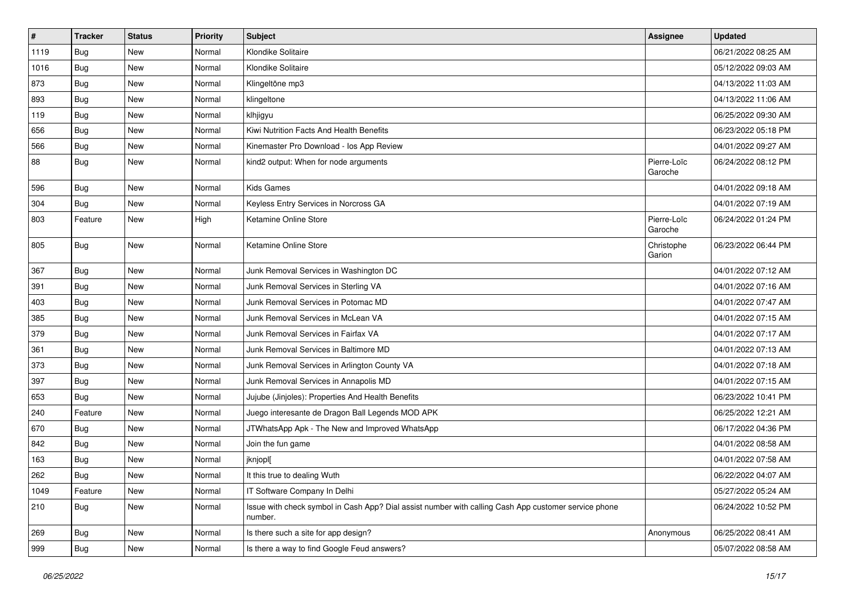| $\vert$ # | <b>Tracker</b> | <b>Status</b> | Priority | <b>Subject</b>                                                                                                  | <b>Assignee</b>        | <b>Updated</b>      |
|-----------|----------------|---------------|----------|-----------------------------------------------------------------------------------------------------------------|------------------------|---------------------|
| 1119      | <b>Bug</b>     | New           | Normal   | Klondike Solitaire                                                                                              |                        | 06/21/2022 08:25 AM |
| 1016      | Bug            | <b>New</b>    | Normal   | Klondike Solitaire                                                                                              |                        | 05/12/2022 09:03 AM |
| 873       | <b>Bug</b>     | New           | Normal   | Klingeltöne mp3                                                                                                 |                        | 04/13/2022 11:03 AM |
| 893       | Bug            | New           | Normal   | klingeltone                                                                                                     |                        | 04/13/2022 11:06 AM |
| 119       | Bug            | New           | Normal   | klhjigyu                                                                                                        |                        | 06/25/2022 09:30 AM |
| 656       | Bug            | New           | Normal   | Kiwi Nutrition Facts And Health Benefits                                                                        |                        | 06/23/2022 05:18 PM |
| 566       | <b>Bug</b>     | New           | Normal   | Kinemaster Pro Download - los App Review                                                                        |                        | 04/01/2022 09:27 AM |
| 88        | Bug            | New           | Normal   | kind2 output: When for node arguments                                                                           | Pierre-Loïc<br>Garoche | 06/24/2022 08:12 PM |
| 596       | Bug            | <b>New</b>    | Normal   | <b>Kids Games</b>                                                                                               |                        | 04/01/2022 09:18 AM |
| 304       | Bug            | New           | Normal   | Keyless Entry Services in Norcross GA                                                                           |                        | 04/01/2022 07:19 AM |
| 803       | Feature        | New           | High     | Ketamine Online Store                                                                                           | Pierre-Loïc<br>Garoche | 06/24/2022 01:24 PM |
| 805       | Bug            | New           | Normal   | Ketamine Online Store                                                                                           | Christophe<br>Garion   | 06/23/2022 06:44 PM |
| 367       | Bug            | New           | Normal   | Junk Removal Services in Washington DC                                                                          |                        | 04/01/2022 07:12 AM |
| 391       | Bug            | New           | Normal   | Junk Removal Services in Sterling VA                                                                            |                        | 04/01/2022 07:16 AM |
| 403       | Bug            | <b>New</b>    | Normal   | Junk Removal Services in Potomac MD                                                                             |                        | 04/01/2022 07:47 AM |
| 385       | <b>Bug</b>     | New           | Normal   | Junk Removal Services in McLean VA                                                                              |                        | 04/01/2022 07:15 AM |
| 379       | Bug            | New           | Normal   | Junk Removal Services in Fairfax VA                                                                             |                        | 04/01/2022 07:17 AM |
| 361       | Bug            | New           | Normal   | Junk Removal Services in Baltimore MD                                                                           |                        | 04/01/2022 07:13 AM |
| 373       | Bug            | New           | Normal   | Junk Removal Services in Arlington County VA                                                                    |                        | 04/01/2022 07:18 AM |
| 397       | Bug            | New           | Normal   | Junk Removal Services in Annapolis MD                                                                           |                        | 04/01/2022 07:15 AM |
| 653       | <b>Bug</b>     | New           | Normal   | Jujube (Jinjoles): Properties And Health Benefits                                                               |                        | 06/23/2022 10:41 PM |
| 240       | Feature        | New           | Normal   | Juego interesante de Dragon Ball Legends MOD APK                                                                |                        | 06/25/2022 12:21 AM |
| 670       | Bug            | New           | Normal   | JTWhatsApp Apk - The New and Improved WhatsApp                                                                  |                        | 06/17/2022 04:36 PM |
| 842       | Bug            | New           | Normal   | Join the fun game                                                                                               |                        | 04/01/2022 08:58 AM |
| 163       | <b>Bug</b>     | New           | Normal   | jknjopl[                                                                                                        |                        | 04/01/2022 07:58 AM |
| 262       | Bug            | New           | Normal   | It this true to dealing Wuth                                                                                    |                        | 06/22/2022 04:07 AM |
| 1049      | Feature        | New           | Normal   | IT Software Company In Delhi                                                                                    |                        | 05/27/2022 05:24 AM |
| 210       | Bug            | New           | Normal   | Issue with check symbol in Cash App? Dial assist number with calling Cash App customer service phone<br>number. |                        | 06/24/2022 10:52 PM |
| 269       | Bug            | New           | Normal   | Is there such a site for app design?                                                                            | Anonymous              | 06/25/2022 08:41 AM |
| 999       | Bug            | New           | Normal   | Is there a way to find Google Feud answers?                                                                     |                        | 05/07/2022 08:58 AM |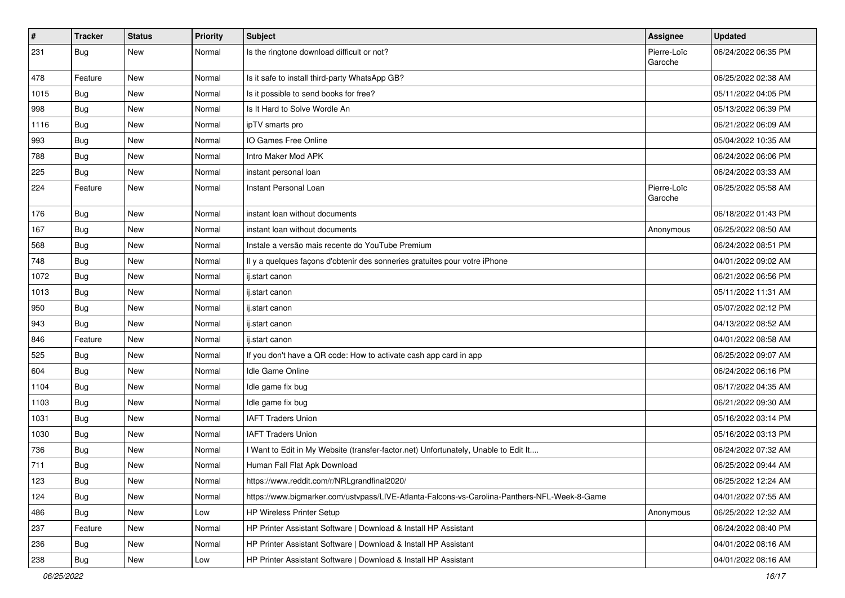| $\sharp$ | <b>Tracker</b> | <b>Status</b> | Priority | <b>Subject</b>                                                                               | <b>Assignee</b>        | <b>Updated</b>      |
|----------|----------------|---------------|----------|----------------------------------------------------------------------------------------------|------------------------|---------------------|
| 231      | Bug            | <b>New</b>    | Normal   | Is the ringtone download difficult or not?                                                   | Pierre-Loïc<br>Garoche | 06/24/2022 06:35 PM |
| 478      | Feature        | New           | Normal   | Is it safe to install third-party WhatsApp GB?                                               |                        | 06/25/2022 02:38 AM |
| 1015     | Bug            | New           | Normal   | Is it possible to send books for free?                                                       |                        | 05/11/2022 04:05 PM |
| 998      | Bug            | New           | Normal   | Is It Hard to Solve Wordle An                                                                |                        | 05/13/2022 06:39 PM |
| 1116     | Bug            | <b>New</b>    | Normal   | ipTV smarts pro                                                                              |                        | 06/21/2022 06:09 AM |
| 993      | Bug            | <b>New</b>    | Normal   | IO Games Free Online                                                                         |                        | 05/04/2022 10:35 AM |
| 788      | Bug            | <b>New</b>    | Normal   | Intro Maker Mod APK                                                                          |                        | 06/24/2022 06:06 PM |
| 225      | Bug            | <b>New</b>    | Normal   | instant personal loan                                                                        |                        | 06/24/2022 03:33 AM |
| 224      | Feature        | New           | Normal   | Instant Personal Loan                                                                        | Pierre-Loïc<br>Garoche | 06/25/2022 05:58 AM |
| 176      | Bug            | <b>New</b>    | Normal   | instant loan without documents                                                               |                        | 06/18/2022 01:43 PM |
| 167      | Bug            | <b>New</b>    | Normal   | instant loan without documents                                                               | Anonymous              | 06/25/2022 08:50 AM |
| 568      | Bug            | <b>New</b>    | Normal   | Instale a versão mais recente do YouTube Premium                                             |                        | 06/24/2022 08:51 PM |
| 748      | Bug            | <b>New</b>    | Normal   | Il y a quelques façons d'obtenir des sonneries gratuites pour votre iPhone                   |                        | 04/01/2022 09:02 AM |
| 1072     | Bug            | <b>New</b>    | Normal   | ij.start canon                                                                               |                        | 06/21/2022 06:56 PM |
| 1013     | Bug            | <b>New</b>    | Normal   | ij.start canon                                                                               |                        | 05/11/2022 11:31 AM |
| 950      | Bug            | <b>New</b>    | Normal   | ij.start canon                                                                               |                        | 05/07/2022 02:12 PM |
| 943      | Bug            | New           | Normal   | ij.start canon                                                                               |                        | 04/13/2022 08:52 AM |
| 846      | Feature        | New           | Normal   | ij.start canon                                                                               |                        | 04/01/2022 08:58 AM |
| 525      | Bug            | <b>New</b>    | Normal   | If you don't have a QR code: How to activate cash app card in app                            |                        | 06/25/2022 09:07 AM |
| 604      | Bug            | <b>New</b>    | Normal   | Idle Game Online                                                                             |                        | 06/24/2022 06:16 PM |
| 1104     | Bug            | <b>New</b>    | Normal   | Idle game fix bug                                                                            |                        | 06/17/2022 04:35 AM |
| 1103     | Bug            | New           | Normal   | Idle game fix bug                                                                            |                        | 06/21/2022 09:30 AM |
| 1031     | Bug            | New           | Normal   | <b>IAFT Traders Union</b>                                                                    |                        | 05/16/2022 03:14 PM |
| 1030     | Bug            | <b>New</b>    | Normal   | <b>IAFT Traders Union</b>                                                                    |                        | 05/16/2022 03:13 PM |
| 736      | Bug            | New           | Normal   | I Want to Edit in My Website (transfer-factor.net) Unfortunately, Unable to Edit It          |                        | 06/24/2022 07:32 AM |
| 711      | Bug            | <b>New</b>    | Normal   | Human Fall Flat Apk Download                                                                 |                        | 06/25/2022 09:44 AM |
| 123      | Bug            | New           | Normal   | https://www.reddit.com/r/NRLgrandfinal2020/                                                  |                        | 06/25/2022 12:24 AM |
| 124      | Bug            | New           | Normal   | https://www.bigmarker.com/ustvpass/LIVE-Atlanta-Falcons-vs-Carolina-Panthers-NFL-Week-8-Game |                        | 04/01/2022 07:55 AM |
| 486      | Bug            | New           | Low      | <b>HP Wireless Printer Setup</b>                                                             | Anonymous              | 06/25/2022 12:32 AM |
| 237      | Feature        | New           | Normal   | HP Printer Assistant Software   Download & Install HP Assistant                              |                        | 06/24/2022 08:40 PM |
| 236      | <b>Bug</b>     | New           | Normal   | HP Printer Assistant Software   Download & Install HP Assistant                              |                        | 04/01/2022 08:16 AM |
| 238      | Bug            | New           | Low      | HP Printer Assistant Software   Download & Install HP Assistant                              |                        | 04/01/2022 08:16 AM |